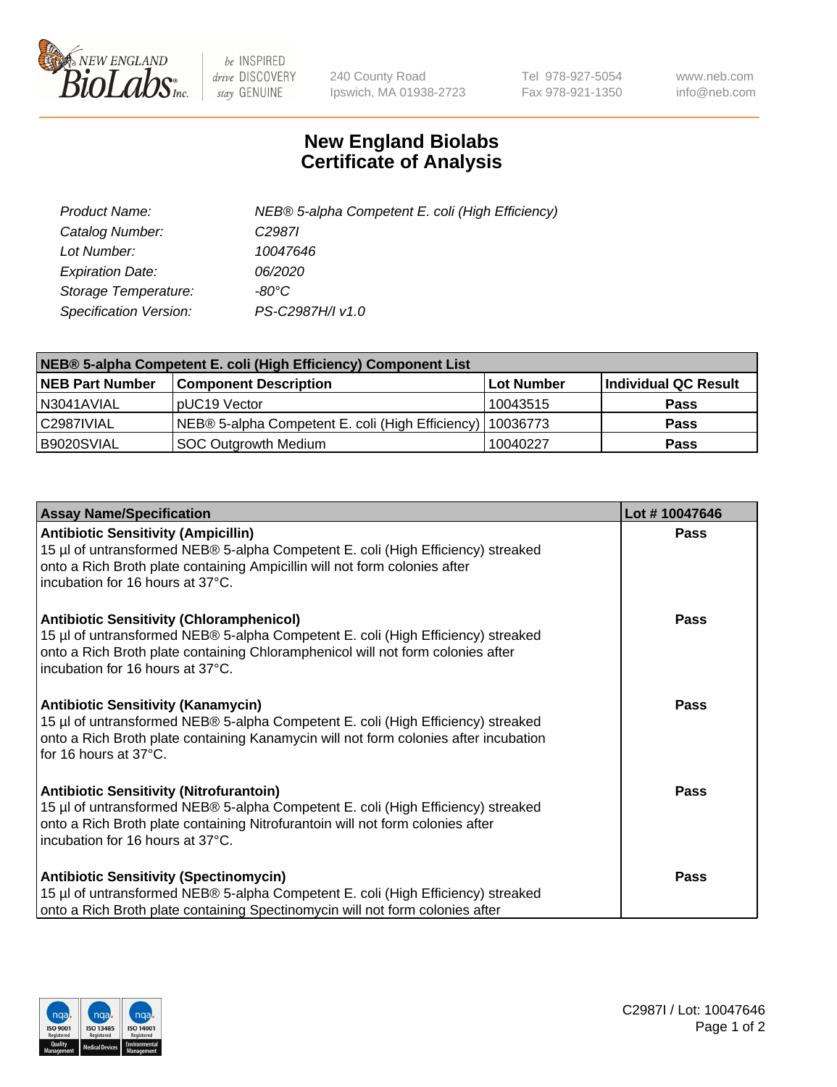

 $be$  INSPIRED drive DISCOVERY stay GENUINE

240 County Road Ipswich, MA 01938-2723 Tel 978-927-5054 Fax 978-921-1350 www.neb.com info@neb.com

## **New England Biolabs Certificate of Analysis**

| Product Name:           | NEB® 5-alpha Competent E. coli (High Efficiency) |
|-------------------------|--------------------------------------------------|
| Catalog Number:         | C <sub>2987</sub>                                |
| Lot Number:             | 10047646                                         |
| <b>Expiration Date:</b> | <i>06/2020</i>                                   |
| Storage Temperature:    | -80°C                                            |
| Specification Version:  | PS-C2987H/I v1.0                                 |

| NEB® 5-alpha Competent E. coli (High Efficiency) Component List |                                                             |            |                      |  |
|-----------------------------------------------------------------|-------------------------------------------------------------|------------|----------------------|--|
| <b>NEB Part Number</b>                                          | <b>Component Description</b>                                | Lot Number | Individual QC Result |  |
| N3041AVIAL                                                      | pUC19 Vector                                                | 10043515   | <b>Pass</b>          |  |
| C2987IVIAL                                                      | NEB® 5-alpha Competent E. coli (High Efficiency)   10036773 |            | <b>Pass</b>          |  |
| B9020SVIAL                                                      | <b>SOC Outgrowth Medium</b>                                 | 10040227   | <b>Pass</b>          |  |

| <b>Assay Name/Specification</b>                                                                                                                                                                                                                            | Lot #10047646 |
|------------------------------------------------------------------------------------------------------------------------------------------------------------------------------------------------------------------------------------------------------------|---------------|
| <b>Antibiotic Sensitivity (Ampicillin)</b><br>15 µl of untransformed NEB® 5-alpha Competent E. coli (High Efficiency) streaked<br>onto a Rich Broth plate containing Ampicillin will not form colonies after<br>incubation for 16 hours at 37°C.           | Pass          |
| <b>Antibiotic Sensitivity (Chloramphenicol)</b><br>15 µl of untransformed NEB® 5-alpha Competent E. coli (High Efficiency) streaked<br>onto a Rich Broth plate containing Chloramphenicol will not form colonies after<br>incubation for 16 hours at 37°C. | Pass          |
| Antibiotic Sensitivity (Kanamycin)<br>15 µl of untransformed NEB® 5-alpha Competent E. coli (High Efficiency) streaked<br>onto a Rich Broth plate containing Kanamycin will not form colonies after incubation<br>for 16 hours at 37°C.                    | Pass          |
| <b>Antibiotic Sensitivity (Nitrofurantoin)</b><br>15 µl of untransformed NEB® 5-alpha Competent E. coli (High Efficiency) streaked<br>onto a Rich Broth plate containing Nitrofurantoin will not form colonies after<br>incubation for 16 hours at 37°C.   | <b>Pass</b>   |
| <b>Antibiotic Sensitivity (Spectinomycin)</b><br>15 µl of untransformed NEB® 5-alpha Competent E. coli (High Efficiency) streaked<br>onto a Rich Broth plate containing Spectinomycin will not form colonies after                                         | Pass          |